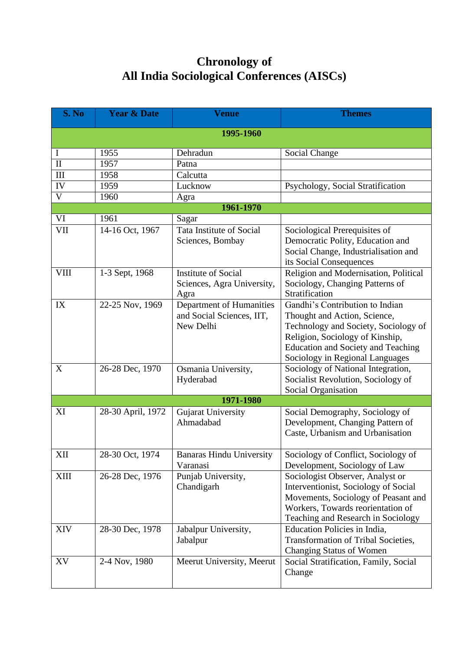## **Chronology of All India Sociological Conferences (AISCs)**

| S. No                   | <b>Year &amp; Date</b> | <b>Venue</b>                                                       | <b>Themes</b>                                                                                                                                                                                                              |  |  |  |  |
|-------------------------|------------------------|--------------------------------------------------------------------|----------------------------------------------------------------------------------------------------------------------------------------------------------------------------------------------------------------------------|--|--|--|--|
| 1995-1960               |                        |                                                                    |                                                                                                                                                                                                                            |  |  |  |  |
| I                       | 1955                   | Dehradun                                                           | Social Change                                                                                                                                                                                                              |  |  |  |  |
| $\mathbf{I}$            | 1957                   | Patna                                                              |                                                                                                                                                                                                                            |  |  |  |  |
| III                     | 1958                   | Calcutta                                                           |                                                                                                                                                                                                                            |  |  |  |  |
| IV                      | 1959                   | Lucknow                                                            | Psychology, Social Stratification                                                                                                                                                                                          |  |  |  |  |
| $\overline{\mathbf{V}}$ | 1960                   | Agra                                                               |                                                                                                                                                                                                                            |  |  |  |  |
| 1961-1970               |                        |                                                                    |                                                                                                                                                                                                                            |  |  |  |  |
| VI                      | 1961                   | Sagar                                                              |                                                                                                                                                                                                                            |  |  |  |  |
| <b>VII</b>              | 14-16 Oct, 1967        | Tata Institute of Social<br>Sciences, Bombay                       | Sociological Prerequisites of<br>Democratic Polity, Education and<br>Social Change, Industrialisation and<br>its Social Consequences                                                                                       |  |  |  |  |
| <b>VIII</b>             | 1-3 Sept, 1968         | <b>Institute of Social</b><br>Sciences, Agra University,<br>Agra   | Religion and Modernisation, Political<br>Sociology, Changing Patterns of<br>Stratification                                                                                                                                 |  |  |  |  |
| IX                      | 22-25 Nov, 1969        | Department of Humanities<br>and Social Sciences, IIT,<br>New Delhi | Gandhi's Contribution to Indian<br>Thought and Action, Science,<br>Technology and Society, Sociology of<br>Religion, Sociology of Kinship,<br><b>Education and Society and Teaching</b><br>Sociology in Regional Languages |  |  |  |  |
| X                       | 26-28 Dec, 1970        | Osmania University,<br>Hyderabad                                   | Sociology of National Integration,<br>Socialist Revolution, Sociology of<br>Social Organisation                                                                                                                            |  |  |  |  |
|                         |                        | 1971-1980                                                          |                                                                                                                                                                                                                            |  |  |  |  |
| XI                      | 28-30 April, 1972      | <b>Gujarat University</b><br>Ahmadabad                             | Social Demography, Sociology of<br>Development, Changing Pattern of<br>Caste, Urbanism and Urbanisation                                                                                                                    |  |  |  |  |
| XII                     | 28-30 Oct, 1974        | <b>Banaras Hindu University</b><br>Varanasi                        | Sociology of Conflict, Sociology of<br>Development, Sociology of Law                                                                                                                                                       |  |  |  |  |
| XIII                    | 26-28 Dec, 1976        | Punjab University,<br>Chandigarh                                   | Sociologist Observer, Analyst or<br>Interventionist, Sociology of Social<br>Movements, Sociology of Peasant and<br>Workers, Towards reorientation of<br>Teaching and Research in Sociology                                 |  |  |  |  |
| XIV                     | 28-30 Dec, 1978        | Jabalpur University,<br>Jabalpur                                   | Education Policies in India,<br><b>Transformation of Tribal Societies,</b><br><b>Changing Status of Women</b>                                                                                                              |  |  |  |  |
| XV                      | 2-4 Nov, 1980          | Meerut University, Meerut                                          | Social Stratification, Family, Social<br>Change                                                                                                                                                                            |  |  |  |  |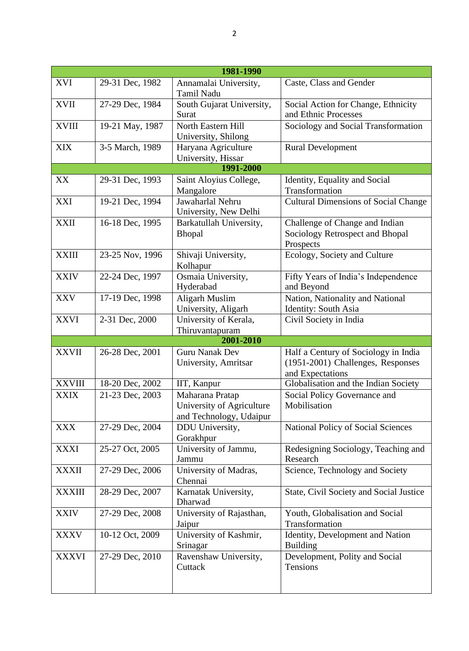| 1981-1990     |                 |                                 |                                             |  |  |  |
|---------------|-----------------|---------------------------------|---------------------------------------------|--|--|--|
| <b>XVI</b>    | 29-31 Dec, 1982 | Annamalai University,           | Caste, Class and Gender                     |  |  |  |
|               |                 | <b>Tamil Nadu</b>               |                                             |  |  |  |
| <b>XVII</b>   | 27-29 Dec, 1984 | South Gujarat University,       | Social Action for Change, Ethnicity         |  |  |  |
|               |                 | Surat                           | and Ethnic Processes                        |  |  |  |
| <b>XVIII</b>  | 19-21 May, 1987 | North Eastern Hill              | Sociology and Social Transformation         |  |  |  |
|               |                 | University, Shilong             |                                             |  |  |  |
| <b>XIX</b>    | 3-5 March, 1989 | Haryana Agriculture             | <b>Rural Development</b>                    |  |  |  |
|               |                 | University, Hissar              |                                             |  |  |  |
|               |                 | 1991-2000                       |                                             |  |  |  |
| XX            | 29-31 Dec, 1993 | Saint Aloyius College,          | Identity, Equality and Social               |  |  |  |
|               |                 | Mangalore                       | Transformation                              |  |  |  |
| XXI           | 19-21 Dec, 1994 | Jawaharlal Nehru                | <b>Cultural Dimensions of Social Change</b> |  |  |  |
|               |                 | University, New Delhi           |                                             |  |  |  |
| <b>XXII</b>   | 16-18 Dec, 1995 | Barkatullah University,         | Challenge of Change and Indian              |  |  |  |
|               |                 | <b>Bhopal</b>                   | Sociology Retrospect and Bhopal             |  |  |  |
|               |                 |                                 | Prospects                                   |  |  |  |
| <b>XXIII</b>  | 23-25 Nov, 1996 | Shivaji University,             | Ecology, Society and Culture                |  |  |  |
|               |                 | Kolhapur                        |                                             |  |  |  |
| <b>XXIV</b>   | 22-24 Dec, 1997 | Osmaia University,              | Fifty Years of India's Independence         |  |  |  |
|               |                 | Hyderabad                       | and Beyond                                  |  |  |  |
| <b>XXV</b>    | 17-19 Dec, 1998 | <b>Aligarh Muslim</b>           | Nation, Nationality and National            |  |  |  |
|               |                 | University, Aligarh             | Identity: South Asia                        |  |  |  |
| <b>XXVI</b>   | 2-31 Dec, 2000  | University of Kerala,           | Civil Society in India                      |  |  |  |
|               |                 | Thiruvantapuram                 |                                             |  |  |  |
|               |                 | 2001-2010                       |                                             |  |  |  |
| <b>XXVII</b>  | 26-28 Dec, 2001 | <b>Guru Nanak Dev</b>           | Half a Century of Sociology in India        |  |  |  |
|               |                 | University, Amritsar            | (1951-2001) Challenges, Responses           |  |  |  |
|               |                 |                                 | and Expectations                            |  |  |  |
| <b>XXVIII</b> | 18-20 Dec, 2002 | IIT, Kanpur                     | Globalisation and the Indian Society        |  |  |  |
| <b>XXIX</b>   | 21-23 Dec, 2003 | Maharana Pratap                 | Social Policy Governance and                |  |  |  |
|               |                 | University of Agriculture       | Mobilisation                                |  |  |  |
|               |                 | and Technology, Udaipur         |                                             |  |  |  |
| <b>XXX</b>    | 27-29 Dec, 2004 | DDU University,                 | National Policy of Social Sciences          |  |  |  |
|               |                 | Gorakhpur                       |                                             |  |  |  |
| <b>XXXI</b>   | 25-27 Oct, 2005 | University of Jammu,            | Redesigning Sociology, Teaching and         |  |  |  |
|               |                 | Jammu                           | Research                                    |  |  |  |
| <b>XXXII</b>  | 27-29 Dec, 2006 | University of Madras,           | Science, Technology and Society             |  |  |  |
|               |                 | Chennai                         |                                             |  |  |  |
| <b>XXXIII</b> | 28-29 Dec, 2007 | Karnatak University,<br>Dharwad | State, Civil Society and Social Justice     |  |  |  |
|               | 27-29 Dec, 2008 | University of Rajasthan,        | Youth, Globalisation and Social             |  |  |  |
| <b>XXIV</b>   |                 | Jaipur                          | Transformation                              |  |  |  |
| <b>XXXV</b>   | 10-12 Oct, 2009 | University of Kashmir,          | Identity, Development and Nation            |  |  |  |
|               |                 | Srinagar                        | <b>Building</b>                             |  |  |  |
| <b>XXXVI</b>  | 27-29 Dec, 2010 | Ravenshaw University,           | Development, Polity and Social              |  |  |  |
|               |                 | Cuttack                         | Tensions                                    |  |  |  |
|               |                 |                                 |                                             |  |  |  |
|               |                 |                                 |                                             |  |  |  |